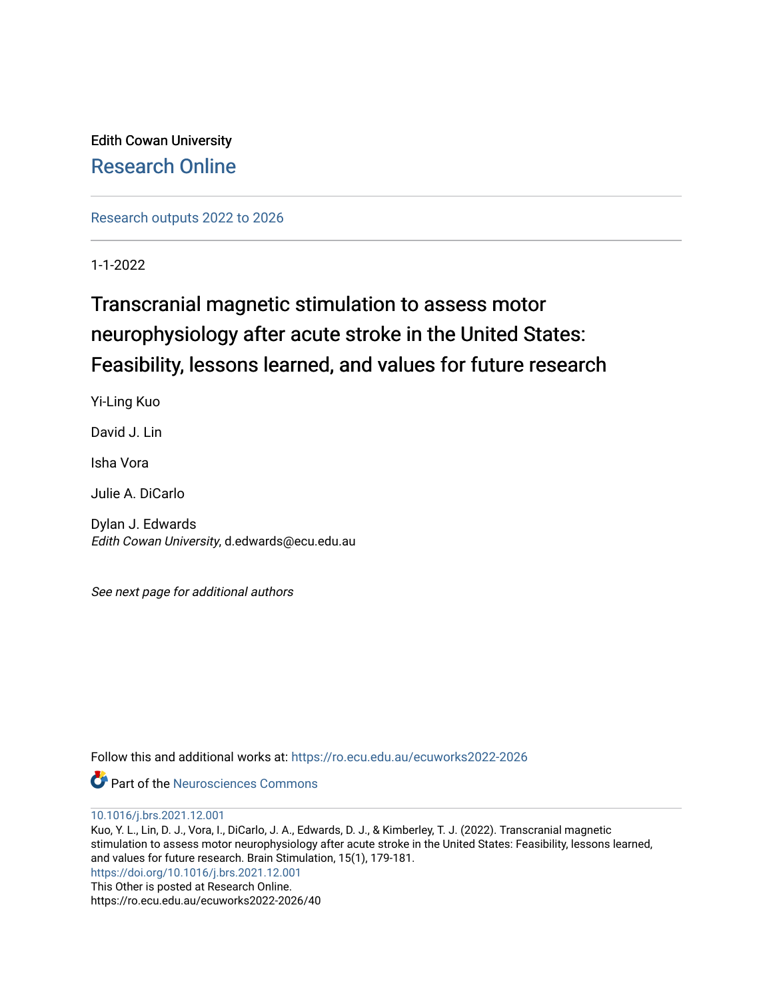Edith Cowan University [Research Online](https://ro.ecu.edu.au/) 

[Research outputs 2022 to 2026](https://ro.ecu.edu.au/ecuworks2022-2026) 

1-1-2022

# Transcranial magnetic stimulation to assess motor neurophysiology after acute stroke in the United States: Feasibility, lessons learned, and values for future research

Yi-Ling Kuo

David J. Lin

Isha Vora

Julie A. DiCarlo

Dylan J. Edwards Edith Cowan University, d.edwards@ecu.edu.au

See next page for additional authors

Follow this and additional works at: [https://ro.ecu.edu.au/ecuworks2022-2026](https://ro.ecu.edu.au/ecuworks2022-2026?utm_source=ro.ecu.edu.au%2Fecuworks2022-2026%2F40&utm_medium=PDF&utm_campaign=PDFCoverPages)

**Part of the Neurosciences Commons** 

[10.1016/j.brs.2021.12.001](http://dx.doi.org/10.1016/j.brs.2021.12.001)

Kuo, Y. L., Lin, D. J., Vora, I., DiCarlo, J. A., Edwards, D. J., & Kimberley, T. J. (2022). Transcranial magnetic stimulation to assess motor neurophysiology after acute stroke in the United States: Feasibility, lessons learned, and values for future research. Brain Stimulation, 15(1), 179-181. <https://doi.org/10.1016/j.brs.2021.12.001> This Other is posted at Research Online. https://ro.ecu.edu.au/ecuworks2022-2026/40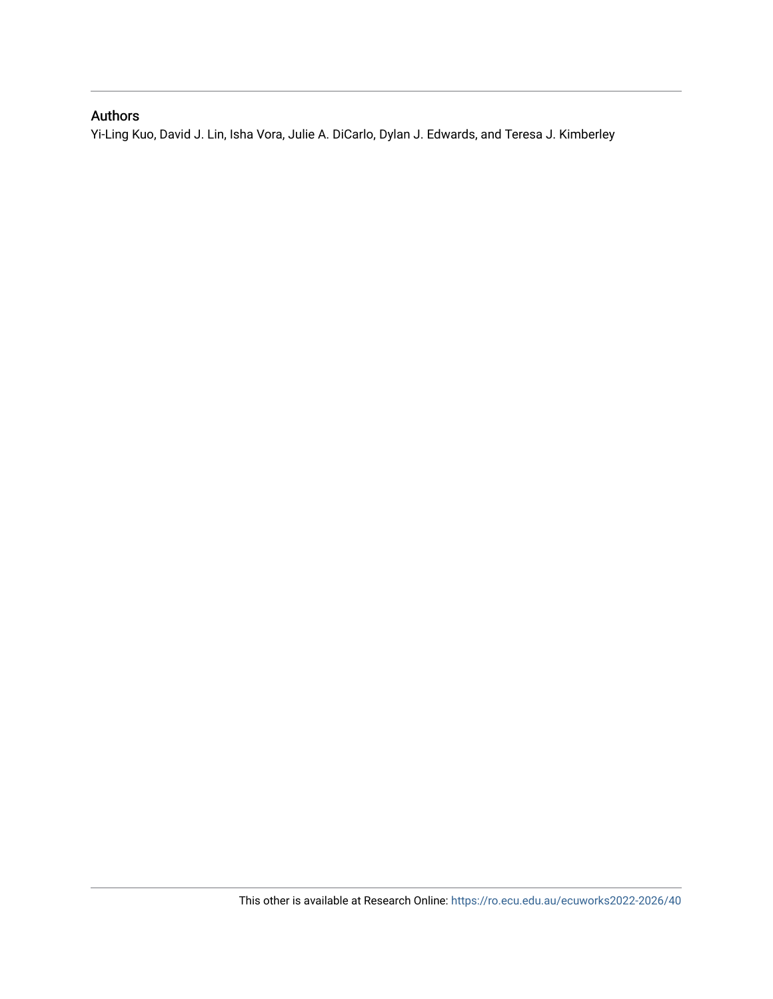# Authors

Yi-Ling Kuo, David J. Lin, Isha Vora, Julie A. DiCarlo, Dylan J. Edwards, and Teresa J. Kimberley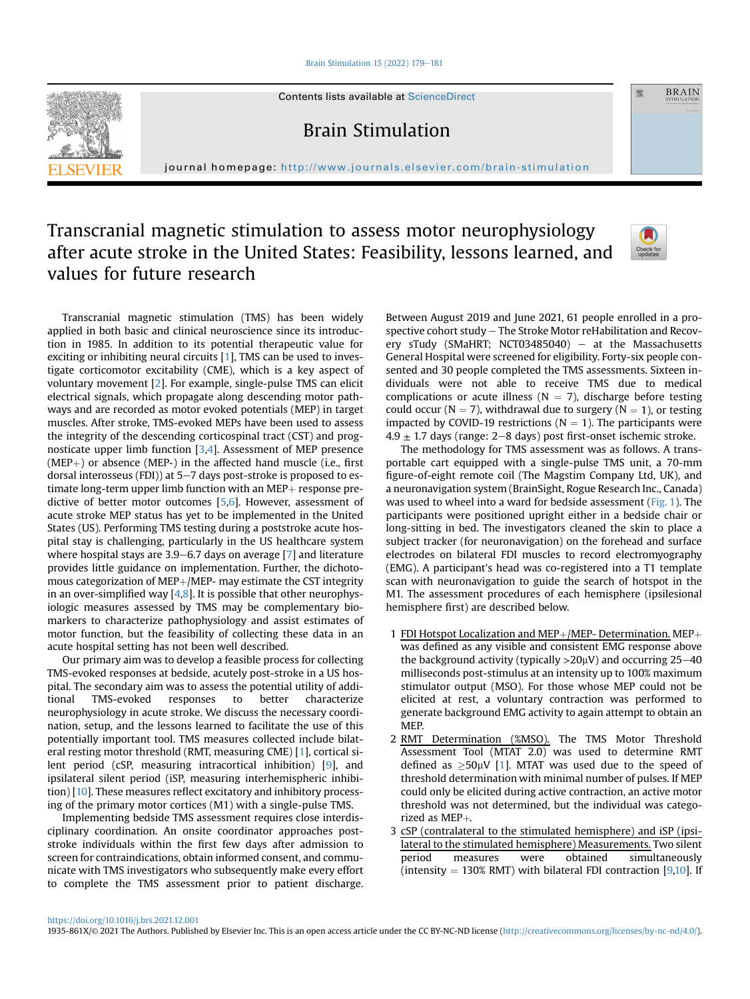#### [Brain Stimulation 15 \(2022\) 179](https://doi.org/10.1016/j.brs.2021.12.001)-[181](https://doi.org/10.1016/j.brs.2021.12.001)



Contents lists available at ScienceDirect

Brain Stimulation

journal homepage: <http://www.journals.elsevier.com/brain-stimulation>

# Transcranial magnetic stimulation to assess motor neurophysiology after acute stroke in the United States: Feasibility, lessons learned, and values for future research



靈

**BRAIN** 

Transcranial magnetic stimulation (TMS) has been widely applied in both basic and clinical neuroscience since its introduction in 1985. In addition to its potential therapeutic value for exciting or inhibiting neural circuits [\[1\]](#page-3-0), TMS can be used to investigate corticomotor excitability (CME), which is a key aspect of voluntary movement [\[2\]](#page-3-1). For example, single-pulse TMS can elicit electrical signals, which propagate along descending motor pathways and are recorded as motor evoked potentials (MEP) in target muscles. After stroke, TMS-evoked MEPs have been used to assess the integrity of the descending corticospinal tract (CST) and prognosticate upper limb function [\[3,](#page-3-2)[4](#page-3-3)]. Assessment of MEP presence  $(MEP+)$  or absence (MEP-) in the affected hand muscle (i.e., first dorsal interosseus (FDI)) at  $5-7$  days post-stroke is proposed to estimate long-term upper limb function with an  $MEP +$  response predictive of better motor outcomes [[5,](#page-3-4)[6](#page-3-5)]. However, assessment of acute stroke MEP status has yet to be implemented in the United States (US). Performing TMS testing during a poststroke acute hospital stay is challenging, particularly in the US healthcare system where hospital stays are 3.9–6.7 days on average  $[7]$  $[7]$  and literature provides little guidance on implementation. Further, the dichotomous categorization of MEP $+$ /MEP- may estimate the CST integrity in an over-simplified way  $[4,8]$  $[4,8]$  $[4,8]$  $[4,8]$ . It is possible that other neurophysiologic measures assessed by TMS may be complementary biomarkers to characterize pathophysiology and assist estimates of motor function, but the feasibility of collecting these data in an acute hospital setting has not been well described.

Our primary aim was to develop a feasible process for collecting TMS-evoked responses at bedside, acutely post-stroke in a US hospital. The secondary aim was to assess the potential utility of additional TMS-evoked responses to better characterize neurophysiology in acute stroke. We discuss the necessary coordination, setup, and the lessons learned to facilitate the use of this potentially important tool. TMS measures collected include bilateral resting motor threshold (RMT, measuring CME) [\[1](#page-3-0)], cortical silent period (cSP, measuring intracortical inhibition) [[9\]](#page-3-8), and ipsilateral silent period (iSP, measuring interhemispheric inhibition) [\[10](#page-4-0)]. These measures reflect excitatory and inhibitory processing of the primary motor cortices (M1) with a single-pulse TMS.

Implementing bedside TMS assessment requires close interdisciplinary coordination. An onsite coordinator approaches poststroke individuals within the first few days after admission to screen for contraindications, obtain informed consent, and communicate with TMS investigators who subsequently make every effort to complete the TMS assessment prior to patient discharge.

Between August 2019 and June 2021, 61 people enrolled in a prospective cohort study - The Stroke Motor reHabilitation and Recovery sTudy (SMaHRT; NCT03485040)  $-$  at the Massachusetts General Hospital were screened for eligibility. Forty-six people consented and 30 people completed the TMS assessments. Sixteen individuals were not able to receive TMS due to medical complications or acute illness ( $N = 7$ ), discharge before testing could occur ( $N = 7$ ), withdrawal due to surgery ( $N = 1$ ), or testing impacted by COVID-19 restrictions ( $N = 1$ ). The participants were  $4.9 \pm 1.7$  days (range: 2–8 days) post first-onset ischemic stroke.

The methodology for TMS assessment was as follows. A transportable cart equipped with a single-pulse TMS unit, a 70-mm figure-of-eight remote coil (The Magstim Company Ltd, UK), and a neuronavigation system (BrainSight, Rogue Research Inc., Canada) was used to wheel into a ward for bedside assessment [\(Fig. 1\)](#page-3-9). The participants were positioned upright either in a bedside chair or long-sitting in bed. The investigators cleaned the skin to place a subject tracker (for neuronavigation) on the forehead and surface electrodes on bilateral FDI muscles to record electromyography (EMG). A participant's head was co-registered into a T1 template scan with neuronavigation to guide the search of hotspot in the M1. The assessment procedures of each hemisphere (ipsilesional hemisphere first) are described below.

- 1 FDI Hotspot Localization and MEP+/MEP- Determination. MEP+ was defined as any visible and consistent EMG response above the background activity (typically  $>20\mu$ V) and occurring 25–40 milliseconds post-stimulus at an intensity up to 100% maximum stimulator output (MSO). For those whose MEP could not be elicited at rest, a voluntary contraction was performed to generate background EMG activity to again attempt to obtain an MEP.
- 2 RMT Determination (%MSO). The TMS Motor Threshold Assessment Tool (MTAT 2.0) was used to determine RMT defined as  $\geq 50 \mu V$  [[1](#page-3-0)]. MTAT was used due to the speed of threshold determination with minimal number of pulses. If MEP could only be elicited during active contraction, an active motor threshold was not determined, but the individual was categorized as  $MEP+$ .
- 3 cSP (contralateral to the stimulated hemisphere) and iSP (ipsilateral to the stimulated hemisphere) Measurements. Two silent period measures were obtained simultaneously (intensity  $= 130\%$  RMT) with bilateral FDI contraction [[9](#page-3-8)[,10\]](#page-4-0). If

1935-861X/© 2021 The Authors. Published by Elsevier Inc. This is an open access article under the CC BY-NC-ND license ([http://creativecommons.org/licenses/by-nc-nd/4.0/\)](http://creativecommons.org/licenses/by-nc-nd/4.0/).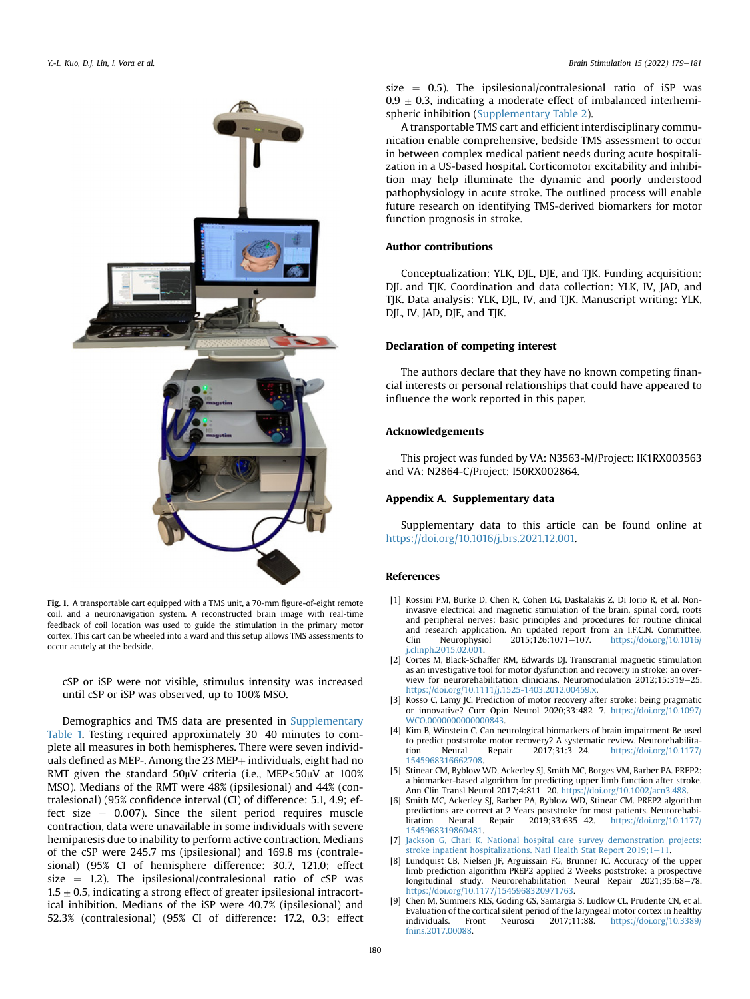<span id="page-3-9"></span>

Fig. 1. A transportable cart equipped with a TMS unit, a 70-mm figure-of-eight remote coil, and a neuronavigation system. A reconstructed brain image with real-time feedback of coil location was used to guide the stimulation in the primary motor cortex. This cart can be wheeled into a ward and this setup allows TMS assessments to occur acutely at the bedside.

cSP or iSP were not visible, stimulus intensity was increased until cSP or iSP was observed, up to 100% MSO.

Demographics and TMS data are presented in Supplementary Table 1. Testing required approximately 30-40 minutes to complete all measures in both hemispheres. There were seven individuals defined as MEP-. Among the 23 MEP $+$  individuals, eight had no RMT given the standard  $50\mu$ V criteria (i.e., MEP<50 $\mu$ V at 100% MSO). Medians of the RMT were 48% (ipsilesional) and 44% (contralesional) (95% confidence interval (CI) of difference: 5.1, 4.9; effect size  $= 0.007$ ). Since the silent period requires muscle contraction, data were unavailable in some individuals with severe hemiparesis due to inability to perform active contraction. Medians of the cSP were 245.7 ms (ipsilesional) and 169.8 ms (contralesional) (95% CI of hemisphere difference: 30.7, 121.0; effect size  $=$  1.2). The ipsilesional/contralesional ratio of  $CSP$  was  $1.5 \pm 0.5$ , indicating a strong effect of greater ipsilesional intracortical inhibition. Medians of the iSP were 40.7% (ipsilesional) and 52.3% (contralesional) (95% CI of difference: 17.2, 0.3; effect size  $= 0.5$ ). The ipsilesional/contralesional ratio of iSP was  $0.9 \pm 0.3$ , indicating a moderate effect of imbalanced interhemispheric inhibition (Supplementary Table 2).

A transportable TMS cart and efficient interdisciplinary communication enable comprehensive, bedside TMS assessment to occur in between complex medical patient needs during acute hospitalization in a US-based hospital. Corticomotor excitability and inhibition may help illuminate the dynamic and poorly understood pathophysiology in acute stroke. The outlined process will enable future research on identifying TMS-derived biomarkers for motor function prognosis in stroke.

## Author contributions

Conceptualization: YLK, DJL, DJE, and TJK. Funding acquisition: DJL and TJK. Coordination and data collection: YLK, IV, JAD, and TJK. Data analysis: YLK, DJL, IV, and TJK. Manuscript writing: YLK, DJL, IV, JAD, DJE, and TJK.

## Declaration of competing interest

The authors declare that they have no known competing financial interests or personal relationships that could have appeared to influence the work reported in this paper.

#### Acknowledgements

This project was funded by VA: N3563-M/Project: IK1RX003563 and VA: N2864-C/Project: I50RX002864.

## Appendix A. Supplementary data

Supplementary data to this article can be found online at [https://doi.org/10.1016/j.brs.2021.12.001.](https://doi.org/10.1016/j.brs.2021.12.001)

#### <span id="page-3-0"></span>References

- [1] Rossini PM, Burke D, Chen R, Cohen LG, Daskalakis Z, Di Iorio R, et al. Noninvasive electrical and magnetic stimulation of the brain, spinal cord, roots and peripheral nerves: basic principles and procedures for routine clinical and research application. An updated report from an I.F.C.N. Committee.<br>Clin Neurophysiol 2015;126:1071-107. https://doi.org/10.1016/ Clin Neurophysiol 2015;126:1071-107. [https://doi.org/10.1016/](https://doi.org/10.1016/j.clinph.2015.02.001) [j.clinph.2015.02.001.](https://doi.org/10.1016/j.clinph.2015.02.001)
- <span id="page-3-2"></span><span id="page-3-1"></span>[2] Cortes M, Black-Schaffer RM, Edwards DJ, Transcranial magnetic stimulation as an investigative tool for motor dysfunction and recovery in stroke: an overview for neurorehabilitation clinicians. Neuromodulation  $2012:15:319-25$ . [https://doi.org/10.1111/j.1525-1403.2012.00459.x.](https://doi.org/10.1111/j.1525-1403.2012.00459.x)
- <span id="page-3-3"></span>[3] Rosso C, Lamy JC. Prediction of motor recovery after stroke: being pragmatic or innovative? Curr Opin Neurol 2020;33:482-7. [https://doi.org/10.1097/](https://doi.org/10.1097/WCO.0000000000000843) [WCO.0000000000000843](https://doi.org/10.1097/WCO.0000000000000843).
- <span id="page-3-4"></span>[4] Kim B, Winstein C. Can neurological biomarkers of brain impairment Be used to predict poststroke motor recovery? A systematic review. Neurorehabilitation Neural Repair 2017;31:3-24. [https://doi.org/10.1177/](https://doi.org/10.1177/1545968316662708) [1545968316662708](https://doi.org/10.1177/1545968316662708).
- <span id="page-3-5"></span>[5] Stinear CM, Byblow WD, Ackerley SJ, Smith MC, Borges VM, Barber PA. PREP2: a biomarker-based algorithm for predicting upper limb function after stroke. Ann Clin Transl Neurol 2017:4:811-20. [https://doi.org/10.1002/acn3.488.](https://doi.org/10.1002/acn3.488)
- <span id="page-3-6"></span>[6] Smith MC, Ackerley SJ, Barber PA, Byblow WD, Stinear CM. PREP2 algorithm predictions are correct at 2 Years poststroke for most patients. Neurorehabilitation Neural Repair 2019;33:635-42. [https://doi.org/10.1177/](https://doi.org/10.1177/1545968319860481) [1545968319860481](https://doi.org/10.1177/1545968319860481).
- <span id="page-3-7"></span>[7] [Jackson G, Chari K. National hospital care survey demonstration projects:](http://refhub.elsevier.com/S1935-861X(21)00836-6/sref7) [stroke inpatient hospitalizations. Natl Health Stat Report 2019;1](http://refhub.elsevier.com/S1935-861X(21)00836-6/sref7)-[11](http://refhub.elsevier.com/S1935-861X(21)00836-6/sref7).
- <span id="page-3-8"></span>[8] Lundquist CB, Nielsen JF, Arguissain FG, Brunner IC. Accuracy of the upper limb prediction algorithm PREP2 applied 2 Weeks poststroke: a prospective longitudinal study. Neurorehabilitation Neural Repair 2021;35:68-78. [https://doi.org/10.1177/1545968320971763.](https://doi.org/10.1177/1545968320971763)
- [9] Chen M, Summers RLS, Goding GS, Samargia S, Ludlow CL, Prudente CN, et al. Evaluation of the cortical silent period of the laryngeal motor cortex in healthy individuals. Front Neurosci 2017;11:88. [https://doi.org/10.3389/](https://doi.org/10.3389/fnins.2017.00088) [fnins.2017.00088.](https://doi.org/10.3389/fnins.2017.00088)